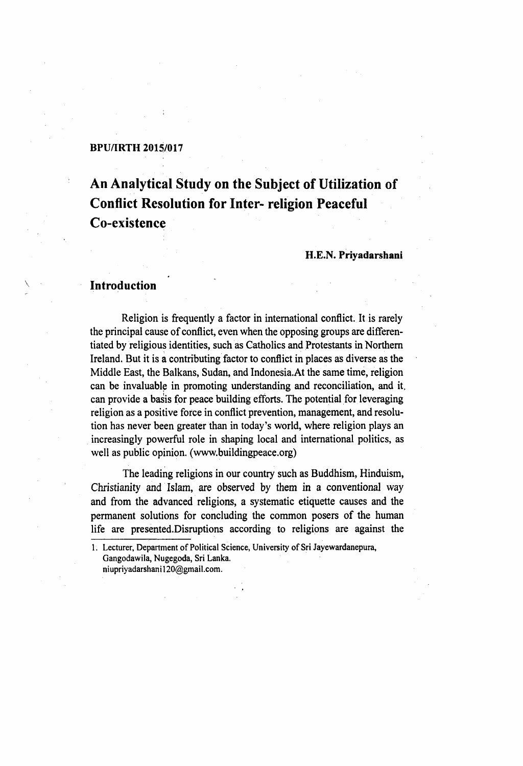### **BPU/IRTH 2015/017**

# **An Analytical Study on the Subject of Utilization of Conflict Resolution for Inter- religion Peaceful Co-existence**

## H.E.N. Priyadarshani

## **Introduction**

**Religion is frequently a factor in international conflict. It is rarely the principal cause of conflict, even when the opposing groups are differentiated by religious identities, such as Catholics and Protestants in Northern Ireland. But it is a contributing factor to conflict in places as diverse as the Middle East, the Balkans, Sudan, and Indonesia.At the same time, religion can be invaluable in promoting understanding and reconciliation, and it, can provide a basis for peace building efforts. The potential for leveraging religion as a positive force in conflict prevention, management, and resolution has never been greater than in today's world, where religion plays an increasingly powerful role in shaping local and international politics, as well as public opinion, ([www.buildingpeace.org](http://www.buildingpeace.org))**

**The leading religions in our country such as Buddhism, Hinduism, Christianity and Islam, are observed by them in a conventional way and from the advanced religions, a systematic etiquette causes and the permanent solutions for concluding the common posers of the human life are presented.Disruptions according to religions are against the**

<sup>1.</sup> Lecturer, Department of Political Science, University of Sri Jayewardanepura, Gangodawila, Nugegoda, Sri Lanka. niupriyadarshani120@gmail.com.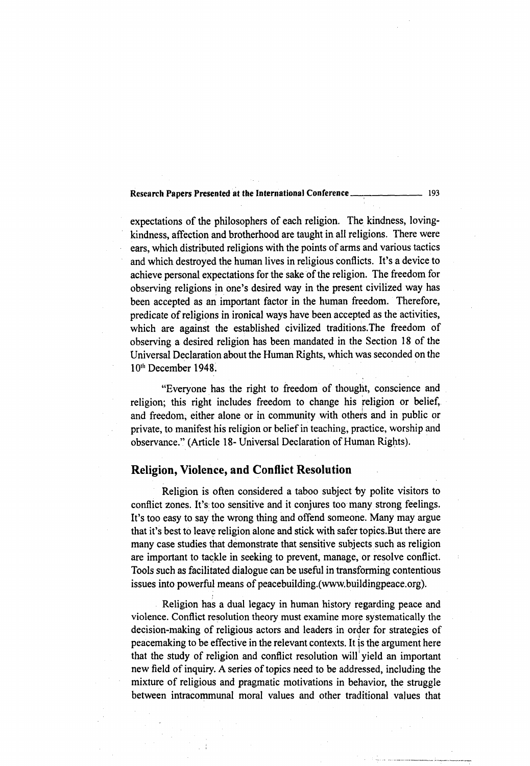## Research Papers Presented at the International Conference<br>
193

expectations of the philosophers of each religion. The kindness, loving**kindness, affection and brotherhood are taught in all religions. There were ears, which distributed religions with the points of arms and various tactics and which destroyed the human lives in religious conflicts. It's a device to achieve personal expectations for the sake of the religion. The freedom for observing religions in one's desired way in the present civilized way has been accepted as an important factor in the human freedom. Therefore, predicate of religions in ironical ways have been accepted as the activities, which are against the established civilized traditions.The freedom of observing a desired religion has been mandated in the Section 18 of the Universal Declaration about the Human Rights, which was seconded on the 10"' December 1948.**

**"Everyone has the right to freedom of thought, conscience and religion; this right includes freedom to change his religion or belief, and freedom, either alone or in community with others and in public or private, to manifest his religion or belief in teaching, practice, worship and observance." (Article 18- Universal Declaration of Human Rights).**

## **Religion, Violence, and Conflict Resolution**

**Religion is often considered a taboo subject by polite visitors to conflict zones. It's: too sensitive and it conjures too many strong feelings. It's too easy to say the wrong thing and offend someone. Many may argue that it's best to leave religion alone and stick with safer topics.But there are many case studies that demonstrate that sensitive subjects such as religion are important to tackle in seeking to prevent, manage, or resolve conflict. Tools such as facilitated dialogue can be useful in transforming contentious issues into powerful means of peacebuilding.[\(www.buildingpeace.org](http://www.buildingpeace.org)).**

**Religion has a dual legacy in human history regarding peace and violence. Conflict resolution theory must examine more systematically the decision-making of religious actors and leaders in order for strategies of peacemaking to be effective in the relevant contexts. It is the argument here that the study of religion and conflict resolution will yield an important** new field of inquiry. A series of topics need to be addressed, including the **mixture of religious and pragmatic motivations in behavior, the struggle between intracommunal moral values and other traditional values that**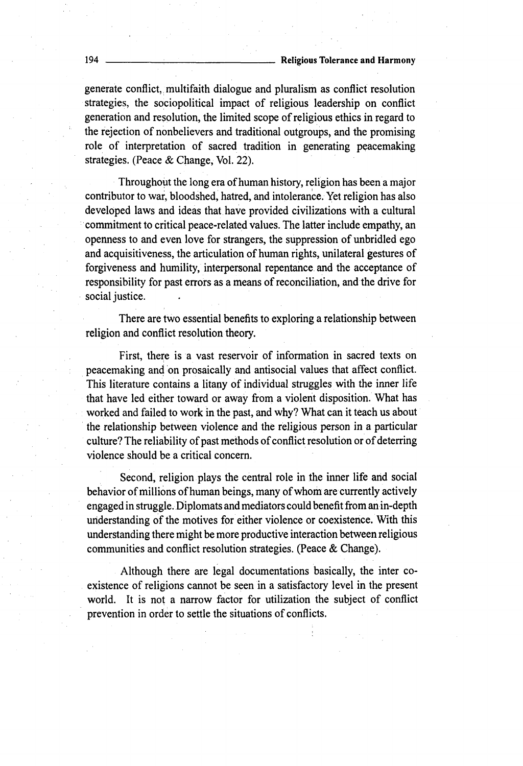**generate conflict, multifaith dialogue and pluralism as conflict resolution** strategies, the sociopolitical impact of religious leadership on conflict generation and resolution, the limited scope of religious ethics in regard to the rejection of nonbelievers and traditional outgroups, and the promising role of interpretation of sacred tradition in generating peacemaking **strategies. (Peace & Change, Vol. 22).**

Throughout the long era of human history, religion has been a major **contributor to war, bloodshed, hatred, and intolerance. Yet religion has also developed laws and ideas that have provided civilizations with a cultural commitment to critical peace-related values. The latter include empathy, an** openness to and even love for strangers, the suppression of unbridled ego and acquisitiveness, the articulation of human rights, unilateral gestures of forgiveness and humility, interpersonal repentance and the acceptance of responsibility for past errors as a means of reconciliation, and the drive for **social justice.**

**There are two essential benefits to exploring a relationship between religion and conflict resolution theory.**

First, there is a vast reservoir of information in sacred texts on **peacemaking and on prosaically and antisocial values that affect conflict.** This literature contains a litany of individual struggles with the inner life **that have led either toward or away from a violent disposition. What has worked and failed to work in the past, and why? What can it teach us about the relationship between violence and the religious person in a particular** culture? The reliability of past methods of conflict resolution or of deterring **violence should be a critical concern.**

**Second, religion plays the central role in the inner life and social** behavior of millions of human beings, many of whom are currently actively **engaged in struggle. Diplomats and mediators could benefit from an in-depth** understanding of the motives for either violence or coexistence. With this **understanding there might be more productive interaction between religious communities and conflict resolution strategies. (Peace & Change).**

**Although there are legal documentations basically, the inter co**existence of religions cannot be seen in a satisfactory level in the present world. It is not a narrow factor for utilization the subject of conflict prevention in order to settle the situations of conflicts.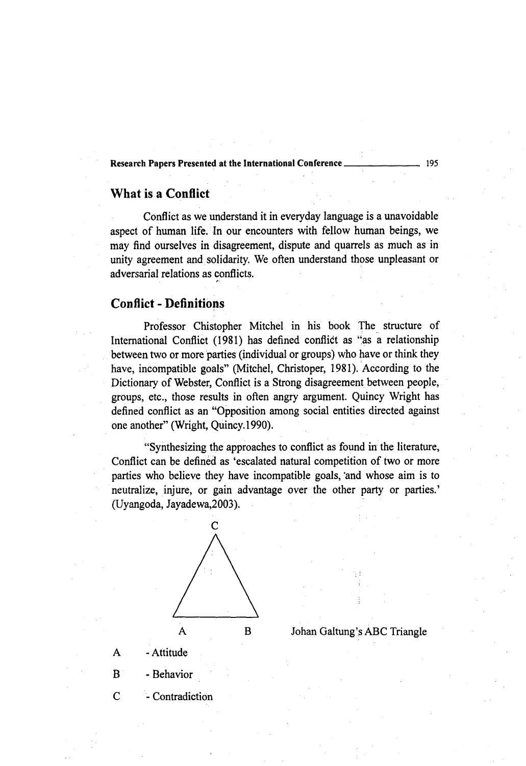#### Research Papers Presented a t the International Conference 195

## **What is a Conflict**

**Conflict as we understand it in everyday language is a unavoidable** aspect of human life. In our encounters with fellow human beings, we **may find ourselves in disagreement, dispute and quarrels as much as in unity agreement and solidarity. We often understand those unpleasant or adversarial relations as conflicts.**

# **Conflict - Definitions**

Professor Chistopher Mitchel in his book The structure of **International Conflict (1981) has defined conflict as "as a relationship between two or more parties (individual or groups) who have or think they have, incompatible goals" (Mitchel, Christoper, 1981). According to the** Dictionary of Webster, Conflict is a Strong disagreement between people, **groups, etc., those results in often angry argument. Quincy Wright has defined conflict as an "Opposition among social entities directed against one another" (Wright, Quincy. 1990).**

**"Synthesizing the approaches to conflict as found m the literature,** Conflict can be defined as 'escalated natural competition of two or more **parties who believe they have incompatible goals, "and whose aim is to neutralize, injure, or gain advantage over the other party or parties.' (Uyangoda, Jayadewa,2003).**



**A - Attitude**

**B - Behavior**

**C - Contradiction**

**Johan Galtung's ABC Triangle**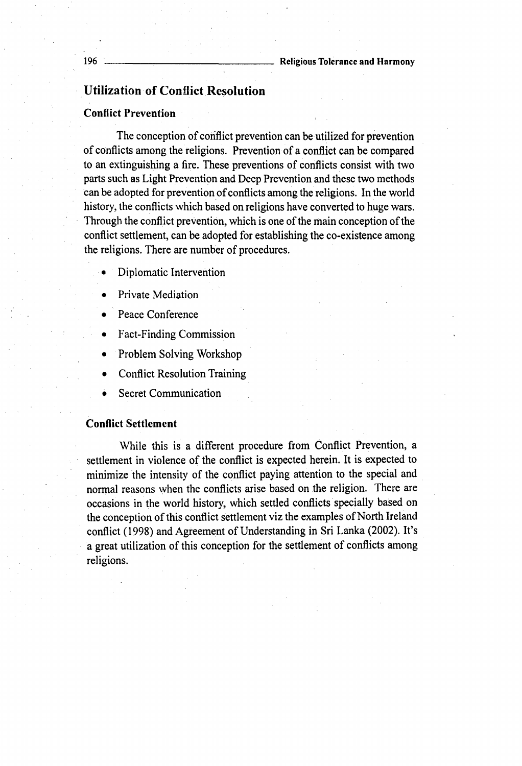# **Utilization of Conflict Resolution**

## Conflict Prevention

The conception of conflict prevention can be utilized for prevention of conflicts among the religions. Prevention of a conflict can be compared to an extinguishing a fire. These preventions of conflicts consist with two **parts such as Light Prevention and Deep Prevention and these two methods** can be adopted for prevention of conflicts among the religions. In the world **history, the conflicts which based on religions have converted to huge wars.** Through the conflict prevention, which is one of the main conception of the **conflict settlement, can be adopted for establishing the co-existence among** the religions. There are number of procedures.

- **Diplomatic Intervention**
- **Private Mediation**
- **Peace Conference**
- **Fact-Finding Commission**
- **Problem Solving Workshop**
- **Conflict Resolution Training**
- **Secret Communication**

## Conflict Settlement

**While this is a different procedure from Conflict Prevention, a** settlement in violence of the conflict is expected herein. It is expected to minimize the intensity of the conflict paying attention to the special and **normal reasons when the conflicts arise based on the religion. There are occasions in the world history, which settled conflicts specially based on** the conception of this conflict settlement viz the examples of North Ireland conflict (1998) and Agreement of Understanding in Sri Lanka (2002). It's a great utilization of this conception for the settlement of conflicts among **religions.**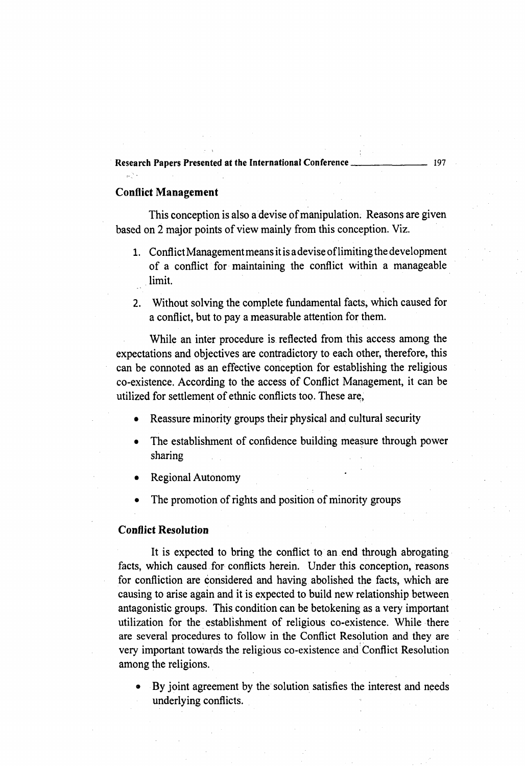## Research Papers Presented at the International Conference.

## Conflict Management

 $\frac{1}{2}$  .

This conception is also a devise of manipulation. Reasons are given based on 2 major points of view mainly from this conception. Viz.

- **1. Conflict Management means it is a devise o f limiting the development** of a conflict for maintaining the conflict within a manageable **limit.**
- **2. Without solving the complete fundamental facts, which caused for a conflict, but to pay a measurable attention for them.**

**While an inter procedure is reflected from this access among the expectations and objectives are contradictory to each other, therefore, this can be connoted as an effective conception for establishing the religious** co-existence. According to the access of Conflict Management, it can be utilized for settlement of ethnic conflicts too. These are,

- **Reassure minority groups their physical and cultural security**
- The establishment of confidence building measure through power **sharing**
- **Regional Autonomy**
- The promotion of rights and position of minority groups

#### Conflict Resolution

**It is expected to bring the conflict to an end through abrogating facts, which caused for conflicts herein. Under this conception, reasons for confliction are considered and having abolished the facts, which are causing to arise again and it is expected to build new relationship between antagonistic groups. This condition can be betokening as a very important** utilization for the establishment of religious co-existence. While there **are several procedures to follow in the Conflict Resolution and they are very important towards the religious co-existence and Conflict Resolution among the religions.**

**• By joint agreement by the solution satisfies the interest and needs underlying conflicts.**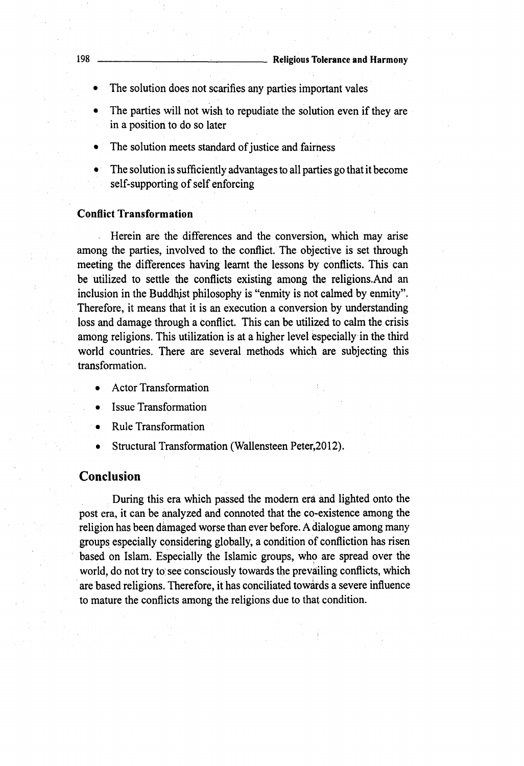- **The solution does not scarifies any parties important vales**
- **The parties will not wish to repudiate the solution even if they are in a position to do so later**
- The solution meets standard of justice and fairness
- **The solution is sufficiently advantages to all parties go that it become** self-supporting of self enforcing

## **Conflict Transformation**

**Herein are the differences and the conversion, which may arise among the parties, involved to the conflict. The objective is set through meeting the differences having learnt the lessons by conflicts. This can be utilized to settle the conflicts existing among the religions.And an inclusion in the Buddhjst philosophy is "enmity is not calmed by enmity". Therefore, it means that it is an execution a conversion by understanding loss and damage through a conflict. This can be utilized to calm the crisis among religions. This utilization is at a higher level especially in the third world countries. There are several methods which are subjecting this transformation.**

- **Actor Transformation**
- **Issue Transformation**
- **Rule Transformation**
- **Structural Transformation (Wallensteen Peter,2012).**

## **Conclusion**

**During this era which passed the modern era and lighted onto the post era, it can be analyzed and connoted that the co-existence among the religion has been damaged worse than ever before. A dialogue among many** groups especially considering globally, a condition of confliction has risen **based on Islam. Especially the Islamic groups, who are spread over the** world, do not try to see consciously towards the prevailing conflicts, which **are based religions. Therefore, it has conciliated towards a severe influence to mature the conflicts among the religions due to that condition.**